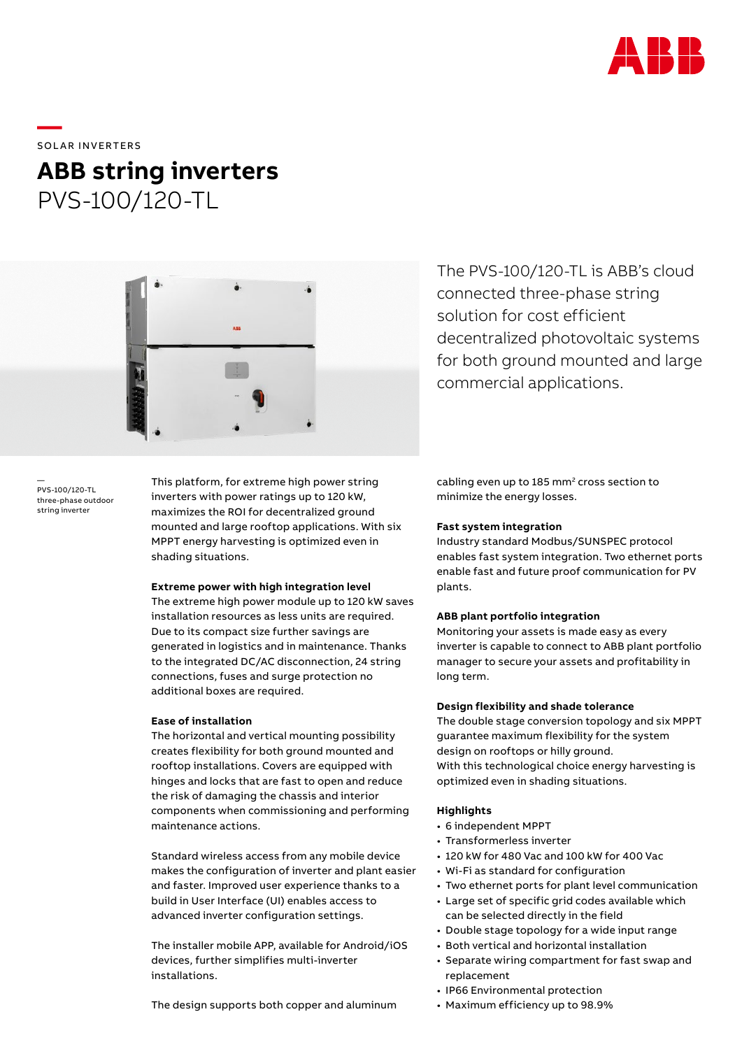

**—**  SOLAR INVERTERS

# **ABB string inverters** PVS-100/120-TL



— PVS-100/120-TL three-phase outdoor string inverter

This platform, for extreme high power string inverters with power ratings up to 120 kW, maximizes the ROI for decentralized ground mounted and large rooftop applications. With six MPPT energy harvesting is optimized even in shading situations.

### **Extreme power with high integration level**

The extreme high power module up to 120 kW saves installation resources as less units are required. Due to its compact size further savings are generated in logistics and in maintenance. Thanks to the integrated DC/AC disconnection, 24 string connections, fuses and surge protection no additional boxes are required.

# **Ease of installation**

The horizontal and vertical mounting possibility creates flexibility for both ground mounted and rooftop installations. Covers are equipped with hinges and locks that are fast to open and reduce the risk of damaging the chassis and interior components when commissioning and performing maintenance actions.

Standard wireless access from any mobile device makes the configuration of inverter and plant easier and faster. Improved user experience thanks to a build in User Interface (UI) enables access to advanced inverter configuration settings.

The installer mobile APP, available for Android/iOS devices, further simplifies multi-inverter installations.

The design supports both copper and aluminum

The PVS-100/120-TL is ABB's cloud connected three-phase string solution for cost efficient decentralized photovoltaic systems for both ground mounted and large commercial applications.

cabling even up to 185 mm<sup>2</sup> cross section to minimize the energy losses.

## **Fast system integration**

Industry standard Modbus/SUNSPEC protocol enables fast system integration. Two ethernet ports enable fast and future proof communication for PV plants.

## **ABB plant portfolio integration**

Monitoring your assets is made easy as every inverter is capable to connect to ABB plant portfolio manager to secure your assets and profitability in long term.

# **Design flexibility and shade tolerance**

The double stage conversion topology and six MPPT guarantee maximum flexibility for the system design on rooftops or hilly ground. With this technological choice energy harvesting is optimized even in shading situations.

# **Highlights**

- 6 independent MPPT
- Transformerless inverter
- 120 kW for 480 Vac and 100 kW for 400 Vac
- Wi-Fi as standard for configuration
- Two ethernet ports for plant level communication
- Large set of specific grid codes available which can be selected directly in the field
- Double stage topology for a wide input range
- Both vertical and horizontal installation
- Separate wiring compartment for fast swap and replacement
- IP66 Environmental protection
- Maximum efficiency up to 98.9%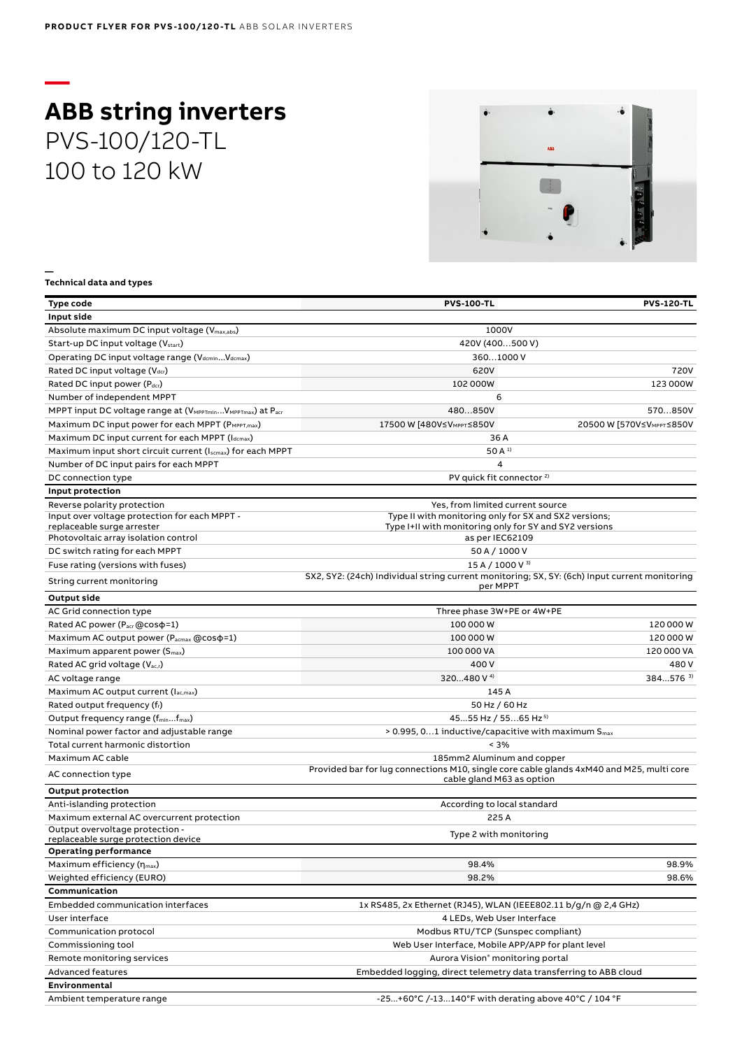# **— ABB string inverters** PVS-100/120-TL 100 to 120 kW



#### **Technical data and types**

**—**

| Type code                                                                                       | <b>PVS-100-TL</b>                                                                                         | <b>PVS-120-TL</b>                     |
|-------------------------------------------------------------------------------------------------|-----------------------------------------------------------------------------------------------------------|---------------------------------------|
| Input side                                                                                      |                                                                                                           |                                       |
| Absolute maximum DC input voltage (V <sub>max,abs</sub> )                                       | 1000V                                                                                                     |                                       |
| Start-up DC input voltage (V <sub>start</sub> )                                                 | 420V (400500 V)                                                                                           |                                       |
| Operating DC input voltage range (VdcminVdcmax)                                                 | 3601000 V                                                                                                 |                                       |
| Rated DC input voltage (Vdcr)                                                                   | 620V                                                                                                      | 720V                                  |
| Rated DC input power (Pdcr)                                                                     | 102 000W                                                                                                  | 123 000W                              |
| Number of independent MPPT                                                                      | 6                                                                                                         |                                       |
| MPPT input DC voltage range at (V <sub>MPPTmin</sub> V <sub>MPPTmax</sub> ) at P <sub>acr</sub> | 480850V                                                                                                   | 570850V                               |
| Maximum DC input power for each MPPT (PMPPT, max)                                               | 17500 W [480V≤V <sub>MPPT</sub> ≤850V                                                                     | 20500 W [570V≤V <sub>MPPT</sub> ≤850V |
| Maximum DC input current for each MPPT (Idcmax)                                                 | 36 A                                                                                                      |                                       |
| Maximum input short circuit current (Iscmax) for each MPPT                                      | 50 A <sup>1</sup>                                                                                         |                                       |
| Number of DC input pairs for each MPPT                                                          | 4                                                                                                         |                                       |
| DC connection type                                                                              | PV quick fit connector <sup>2)</sup>                                                                      |                                       |
| Input protection                                                                                |                                                                                                           |                                       |
| Reverse polarity protection                                                                     | Yes, from limited current source                                                                          |                                       |
| Input over voltage protection for each MPPT -                                                   | Type II with monitoring only for SX and SX2 versions;                                                     |                                       |
| replaceable surge arrester                                                                      | Type I+II with monitoring only for SY and SY2 versions                                                    |                                       |
| Photovoltaic array isolation control                                                            | as per IEC62109                                                                                           |                                       |
| DC switch rating for each MPPT                                                                  | 50 A / 1000 V                                                                                             |                                       |
| Fuse rating (versions with fuses)                                                               | 15 A / 1000 V 3)                                                                                          |                                       |
| String current monitoring                                                                       | SX2, SY2: (24ch) Individual string current monitoring; SX, SY: (6ch) Input current monitoring<br>per MPPT |                                       |
| <b>Output side</b>                                                                              |                                                                                                           |                                       |
| AC Grid connection type                                                                         | Three phase 3W+PE or 4W+PE                                                                                |                                       |
| Rated AC power (Pacr @cos p=1)                                                                  | 100 000 W                                                                                                 | 120 000 W                             |
| Maximum AC output power (P <sub>acmax</sub> @cos $\varphi$ =1)                                  | 100 000 W                                                                                                 | 120 000 W                             |
| Maximum apparent power $(S_{\text{max}})$                                                       | 100 000 VA                                                                                                | 120 000 VA                            |
| Rated AC grid voltage (V <sub>ac,r</sub> )                                                      | 400 V                                                                                                     | 480V                                  |
| AC voltage range                                                                                | 320480 V <sup>4)</sup>                                                                                    | 384576 3)                             |
| Maximum AC output current (Iac,max)                                                             | 145 A                                                                                                     |                                       |
| Rated output frequency (fr)                                                                     | 50 Hz / 60 Hz                                                                                             |                                       |
| Output frequency range (f <sub>min</sub> f <sub>max</sub> )                                     | 4555 Hz / 5565 Hz <sup>5)</sup>                                                                           |                                       |
| Nominal power factor and adjustable range                                                       | $> 0.995, 01$ inductive/capacitive with maximum S <sub>max</sub>                                          |                                       |
| Total current harmonic distortion                                                               | < 3%                                                                                                      |                                       |
| Maximum AC cable                                                                                | 185mm2 Aluminum and copper                                                                                |                                       |
| AC connection type                                                                              | Provided bar for lug connections M10, single core cable glands 4xM40 and M25, multi core                  |                                       |
| <b>Output protection</b>                                                                        | cable gland M63 as option                                                                                 |                                       |
| Anti-islanding protection                                                                       | According to local standard                                                                               |                                       |
| Maximum external AC overcurrent protection                                                      | 225 A                                                                                                     |                                       |
| Output overvoltage protection -                                                                 |                                                                                                           |                                       |
| replaceable surge protection device                                                             | Type 2 with monitoring                                                                                    |                                       |
| Operating performance                                                                           |                                                                                                           |                                       |
| Maximum efficiency (η <sub>max</sub> )                                                          | 98.4%                                                                                                     | 98.9%                                 |
| Weighted efficiency (EURO)                                                                      | 98.2%                                                                                                     | 98.6%                                 |
| Communication                                                                                   |                                                                                                           |                                       |
| Embedded communication interfaces                                                               | 1x RS485, 2x Ethernet (RJ45), WLAN (IEEE802.11 b/g/n @ 2,4 GHz)                                           |                                       |
| User interface                                                                                  | 4 LEDs, Web User Interface                                                                                |                                       |
| Communication protocol                                                                          | Modbus RTU/TCP (Sunspec compliant)                                                                        |                                       |
| Commissioning tool                                                                              | Web User Interface, Mobile APP/APP for plant level                                                        |                                       |
| Remote monitoring services                                                                      | Aurora Vision® monitoring portal                                                                          |                                       |
| <b>Advanced features</b>                                                                        | Embedded logging, direct telemetry data transferring to ABB cloud                                         |                                       |
| Environmental                                                                                   |                                                                                                           |                                       |
| Ambient temperature range                                                                       | -25+60°C /-13140°F with derating above 40°C / 104 °F                                                      |                                       |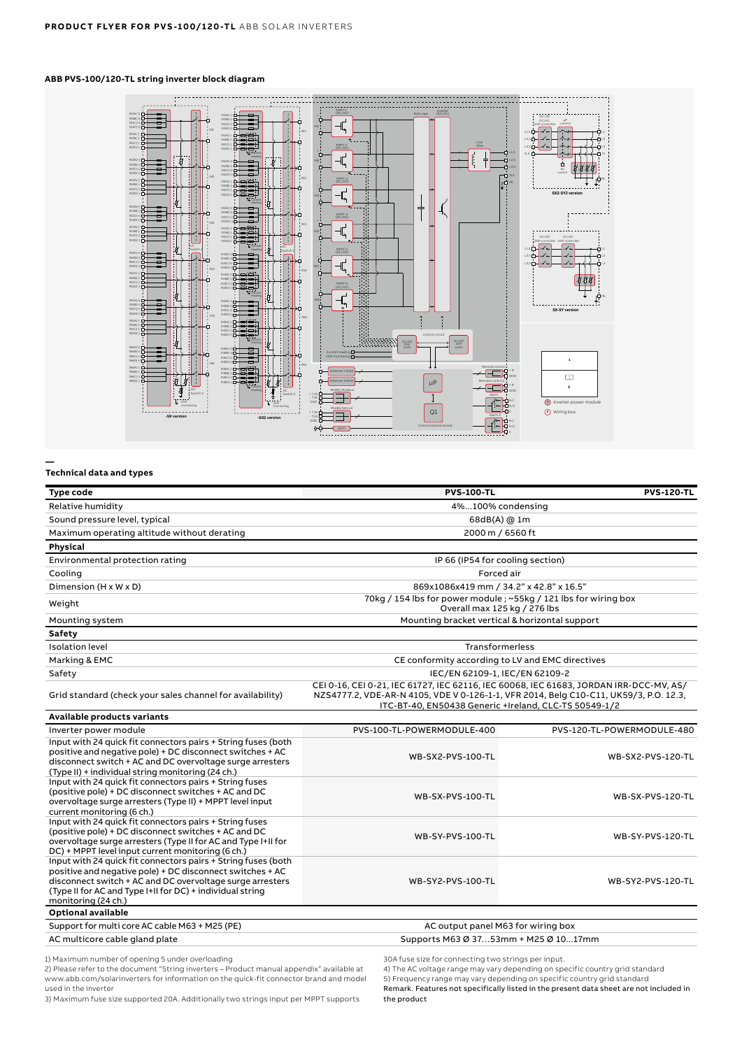# **ABB PVS-100/120-TL string inverter block diagram**



#### **Technical data and types**

**—**

| <b>Type code</b>                                                                                                                                                                                                                                                            | <b>PVS-100-TL</b>                                                                                                                                                                                                                        | <b>PVS-120-TL</b>          |
|-----------------------------------------------------------------------------------------------------------------------------------------------------------------------------------------------------------------------------------------------------------------------------|------------------------------------------------------------------------------------------------------------------------------------------------------------------------------------------------------------------------------------------|----------------------------|
| Relative humidity                                                                                                                                                                                                                                                           | 4%100% condensing                                                                                                                                                                                                                        |                            |
| Sound pressure level, typical                                                                                                                                                                                                                                               | 68dB(A) @ 1m                                                                                                                                                                                                                             |                            |
| Maximum operating altitude without derating                                                                                                                                                                                                                                 | 2000 m / 6560 ft                                                                                                                                                                                                                         |                            |
| Physical                                                                                                                                                                                                                                                                    |                                                                                                                                                                                                                                          |                            |
| Environmental protection rating                                                                                                                                                                                                                                             | IP 66 (IP54 for cooling section)                                                                                                                                                                                                         |                            |
| Cooling                                                                                                                                                                                                                                                                     | Forced air                                                                                                                                                                                                                               |                            |
| Dimension (H x W x D)                                                                                                                                                                                                                                                       | 869x1086x419 mm / 34.2" x 42.8" x 16.5"                                                                                                                                                                                                  |                            |
| Weight                                                                                                                                                                                                                                                                      | 70kg / 154 lbs for power module; ~55kg / 121 lbs for wiring box<br>Overall max 125 kg / 276 lbs                                                                                                                                          |                            |
| Mounting system                                                                                                                                                                                                                                                             | Mounting bracket vertical & horizontal support                                                                                                                                                                                           |                            |
| Safety                                                                                                                                                                                                                                                                      |                                                                                                                                                                                                                                          |                            |
| <b>Isolation level</b>                                                                                                                                                                                                                                                      | Transformerless                                                                                                                                                                                                                          |                            |
| Marking & EMC                                                                                                                                                                                                                                                               | CE conformity according to LV and EMC directives                                                                                                                                                                                         |                            |
| Safety                                                                                                                                                                                                                                                                      | IEC/EN 62109-1, IEC/EN 62109-2                                                                                                                                                                                                           |                            |
| Grid standard (check your sales channel for availability)                                                                                                                                                                                                                   | CEI 0-16, CEI 0-21, IEC 61727, IEC 62116, IEC 60068, IEC 61683, JORDAN IRR-DCC-MV, AS/<br>NZS4777.2, VDE-AR-N 4105, VDE V 0-126-1-1, VFR 2014, Belg C10-C11, UK59/3, P.O. 12.3,<br>ITC-BT-40, EN50438 Generic +Ireland, CLC-TS 50549-1/2 |                            |
| Available products variants                                                                                                                                                                                                                                                 |                                                                                                                                                                                                                                          |                            |
| Inverter power module                                                                                                                                                                                                                                                       | PVS-100-TL-POWERMODULE-400                                                                                                                                                                                                               | PVS-120-TL-POWERMODULE-480 |
| Input with 24 quick fit connectors pairs + String fuses (both<br>positive and negative pole) + DC disconnect switches + AC<br>disconnect switch + AC and DC overvoltage surge arresters<br>(Type II) + individual string monitoring (24 ch.)                                | WB-SX2-PVS-100-TL                                                                                                                                                                                                                        | <b>WB-SX2-PVS-120-TL</b>   |
| Input with 24 quick fit connectors pairs + String fuses<br>(positive pole) + DC disconnect switches + AC and DC<br>overvoltage surge arresters (Type II) + MPPT level input<br>current monitoring (6 ch.)                                                                   | WB-SX-PVS-100-TL                                                                                                                                                                                                                         | WB-SX-PVS-120-TL           |
| Input with 24 quick fit connectors pairs + String fuses<br>(positive pole) + DC disconnect switches + AC and DC<br>overvoltage surge arresters (Type II for AC and Type I+II for<br>DC) + MPPT level input current monitoring (6 ch.)                                       | WB-SY-PVS-100-TL                                                                                                                                                                                                                         | WB-SY-PVS-120-TL           |
| Input with 24 quick fit connectors pairs + String fuses (both<br>positive and negative pole) + DC disconnect switches + AC<br>disconnect switch + AC and DC overvoltage surge arresters<br>(Type II for AC and Type I+II for DC) + individual string<br>monitoring (24 ch.) | WB-SY2-PVS-100-TL                                                                                                                                                                                                                        | WB-SY2-PVS-120-TL          |
| <b>Optional available</b>                                                                                                                                                                                                                                                   |                                                                                                                                                                                                                                          |                            |
| Support for multi core AC cable M63 + M25 (PE)                                                                                                                                                                                                                              | AC output panel M63 for wiring box                                                                                                                                                                                                       |                            |
| AC multicore cable gland plate                                                                                                                                                                                                                                              | Supports M63 Ø 3753mm + M25 Ø 1017mm                                                                                                                                                                                                     |                            |

1) Maximum number of opening 5 under overloading

2) Please refer to the document "String inverters – Product manual appendix" available at www.abb.com/solarinverters for information on the quick-fit connector brand and model used in the inverter

3) Maximum fuse size supported 20A. Additionally two strings input per MPPT supports

30A fuse size for connecting two strings per input.

4) The AC voltage range may vary depending on specific country grid standard

5) Frequency range may vary depending on specific country grid standard Remark. Features not specifically listed in the present data sheet are not included in the product